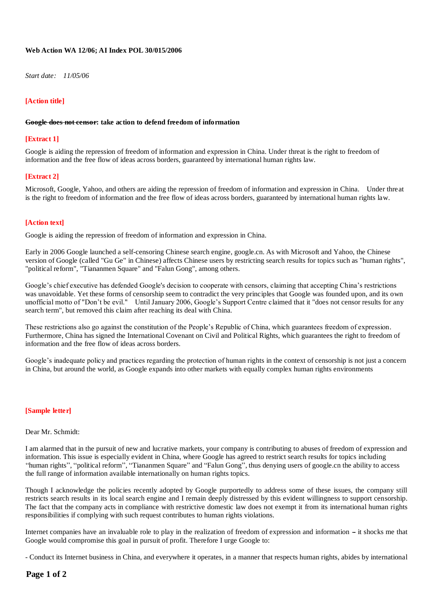# **Web Action WA 12/06; AI Index POL 30/015/2006**

*Start date: 11/05/06*

# **[Action title]**

#### **Google does not censor: take action to defend freedom of information**

# **[Extract 1]**

Google is aiding the repression of freedom of information and expression in China. Under threat is the right to freedom of information and the free flow of ideas across borders, guaranteed by international human rights law.

# **[Extract 2]**

Microsoft, Google, Yahoo, and others are aiding the repression of freedom of information and expression in China. Under threat is the right to freedom of information and the free flow of ideas across borders, guaranteed by international human rights law.

# **[Action text]**

Google is aiding the repression of freedom of information and expression in China.

Early in 2006 Google launched a self-censoring Chinese search engine, google.cn. As with Microsoft and Yahoo, the Chinese version of Google (called "Gu Ge" in Chinese) affects Chinese users by restricting search results for topics such as "human rights", "political reform", "Tiananmen Square" and "Falun Gong", among others.

Google's chief executive has defended Google's decision to cooperate with censors, claiming that accepting China's restrictions was unavoidable. Yet these forms of censorship seem to contradict the very principles that Google was founded upon, and its own unofficial motto of "Don't be evil." Until January 2006, Google's Support Centre claimed that it "does not censor results for any search term", but removed this claim after reaching its deal with China.

These restrictions also go against the constitution of the People's Republic of China, which guarantees freedom of expression. Furthermore, China has signed the International Covenant on Civil and Political Rights, which guarantees the right to freedom of information and the free flow of ideas across borders.

Google's inadequate policy and practices regarding the protection of human rights in the context of censorship is not just a concern in China, but around the world, as Google expands into other markets with equally complex human rights environments

# **[Sample letter]**

#### Dear Mr. Schmidt:

I am alarmed that in the pursuit of new and lucrative markets, your company is contributing to abuses of freedom of expression and information. This issue is especially evident in China, where Google has agreed to restrict search results for topics including ''human rights'', ''political reform'', ''Tiananmen Square'' and ''Falun Gong'', thus denying users of google.cn the ability to access the full range of information available internationally on human rights topics.

Though I acknowledge the policies recently adopted by Google purportedly to address some of these issues, the company still restricts search results in its local search engine and I remain deeply distressed by this evident willingness to support censorship. The fact that the company acts in compliance with restrictive domestic law does not exempt it from its international human rights responsibilities if complying with such request contributes to human rights violations.

Internet companies have an invaluable role to play in the realization of freedom of expression and information – it shocks me that Google would compromise this goal in pursuit of profit. Therefore I urge Google to:

- Conduct its Internet business in China, and everywhere it operates, in a manner that respects human rights, abides by international